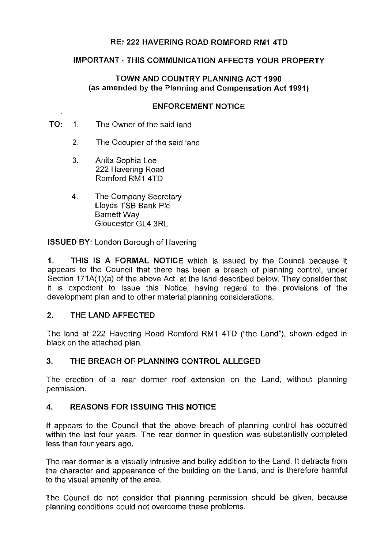# **RE: 222 HAVERING ROAD ROMFORD RM1 4TD**

#### **IMPORTANT-THIS COMMUNICATION AFFECTS YOUR PROPERTY**

## **TOWN AND COUNTRY PLANNING ACT 1990 (as amended by the Planning and Compensation Act 1991)**

#### **ENFORCEMENT NOTICE**

- **TO:** 1. The Owner of the said land
	- 2. The Occupier of the said land
	- 3. Anita Sophia Lee 222 Havering Road Romford RM1 4TD
	- 4. The Company Secretary Lloyds TSB Bank Pie Barnett Way Gloucester GL4 3RL

**ISSUED BY:** London Borough of Havering

**1. THIS IS A FORMAL NOTICE** which is issued by the Council because it appears to the Council that there has been a breach of planning control, under Section 171A(1)(a) of the above Act, at the land described below. They consider that it is expedient to issue this Notice, having regard to the provisions of the development plan and to other material planning considerations.

## **2. THE LAND AFFECTED**

The land at 222 Havering Road Romford RM1 4TD ("the Land"), shown edged in black on the attached plan.

## **3. THE BREACH OF PLANNING CONTROL ALLEGED**

The erection of a rear dormer roof extension on the Land, without planning permission.

### **4. REASONS FOR ISSUING THIS NOTICE**

It appears to the Council that the above breach of planning control has occurred within the last four years. The rear dormer in question was substantially completed less than four years ago.

The rear dormer is a visually intrusive and bulky addition to the Land. It detracts from the character and appearance of the building on the Land, and is therefore harmful to the visual amenity of the area.

The Council do not consider that planning permission should be given, because planning conditions could not overcome these problems.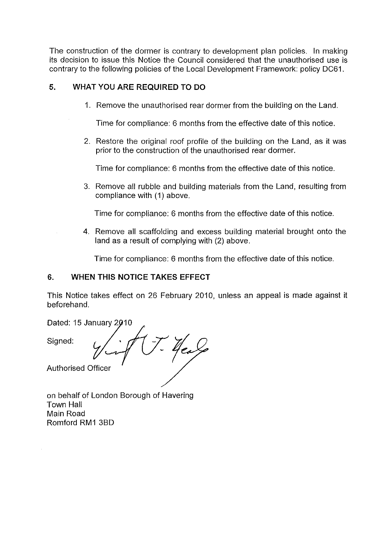The construction of the dormer is contrary to development plan policies. In making its decision to issue this Notice the Council considered that the unauthorised use is contrary to the following policies of the Local Development Framework: policy DC61.

## **5. WHAT YOU ARE REQUIRED TO DO**

1. Remove the unauthorised rear dormer from the building on the Land.

Time for compliance: 6 months from the effective date of this notice.

2. Restore the original roof profile of the building on the Land, as it was prior to the construction of the unauthorised rear dormer.

Time for compliance: 6 months from the effective date of this notice.

3. Remove all rubble and building materials from the Land, resulting from compliance with (1) above.

Time for compliance: 6 months from the effective date of this notice.

4. Remove all scaffolding and excess building material brought onto the land as a result of complying with (2) above.

Time for compliance: 6 months from the effective date of this notice.

## **6. WHEN THIS NOTICE TAKES EFFECT**

This Notice takes effect on 26 February 2010, unless an appeal is made against it beforehand.

Dated: 15 January 2010<br>Signed:<br>*V* Authorised Officer

on behalf of London Borough of Havering Town Hall Main Road Romford RM1 3BD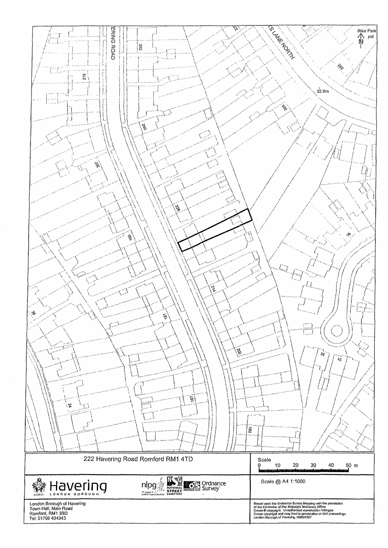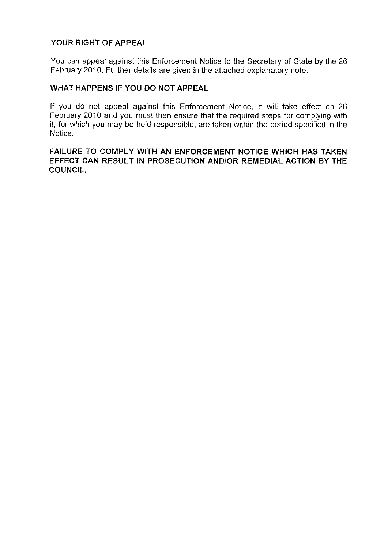# **YOUR RIGHT OF APPEAL**

You can appeal against this Enforcement Notice to the Secretary of State by the 26 February 2010. Further details are given in the attached explanatory note.

## **WHAT HAPPENS IF YOU DO NOT APPEAL**

If you do not appeal against this Enforcement Notice, it will take effect on 26 February 2010 and you must then ensure that the required steps for complying with it, for which you may be held responsible, are taken within the period specified in the Notice.

**FAILURE TO COMPLY WITH AN ENFORCEMENT NOTICE WHICH HAS TAKEN EFFECT CAN RESULT IN PROSECUTION AND/OR REMEDIAL ACTION BY THE COUNCIL.**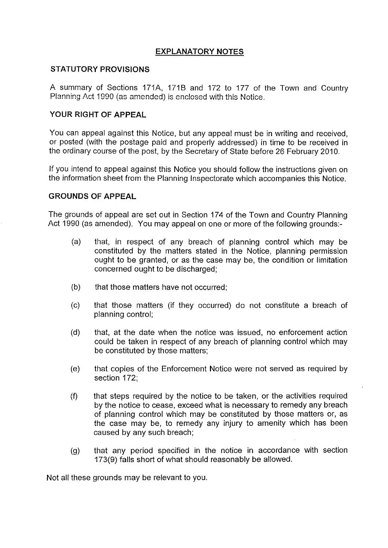# **EXPLANATORY NOTES**

#### **STATUTORY PROVISIONS**

A summary of Sections 171A, 171B and 172 to 177 of the Town and Country Planning Act 1990 (as amended) is enclosed with this Notice.

# **YOUR RIGHT OF APPEAL**

You can appeal against this Notice, but any appeal must be in writing and received, or posted (with the postage paid and properly addressed) in time to be received in the ordinary course of the post, by the Secretary of State before 26 February 2010.

If you intend to appeal against this Notice you should follow the instructions given on the information sheet from the Planning Inspectorate which accompanies this Notice.

#### **GROUNDS OF APPEAL**

The grounds of appeal are set out in Section 174 of the Town and Country Planning Act 1990 (as amended). You may appeal on one or more of the following grounds:-

- (a) that, in respect of any breach of planning control which may be constituted by the matters stated in the Notice, planning permission ought to be granted, or as the case may be, the condition or limitation concerned ought to be discharged;
- (b) that those matters have not occurred;
- (c) that those matters (if they occurred) do not constitute a breach of planning control;
- (d) that, at the date when the notice was issued, no enforcement action could be taken in respect of any breach of planning control which may be constituted by those matters;
- (e) that copies of the Enforcement Notice were not served as required by section 172;
- (f) that steps required by the notice to be taken, or the activities required by the notice to cease, exceed what is necessary to remedy any breach of planning control which may be constituted by those matters or, as the case may be, to remedy any injury to amenity which has been caused by any such breach;
- (g) that any period specified in the notice in accordance with section 173(9) falls short of what should reasonably be allowed.

Not all these grounds may be relevant to you.